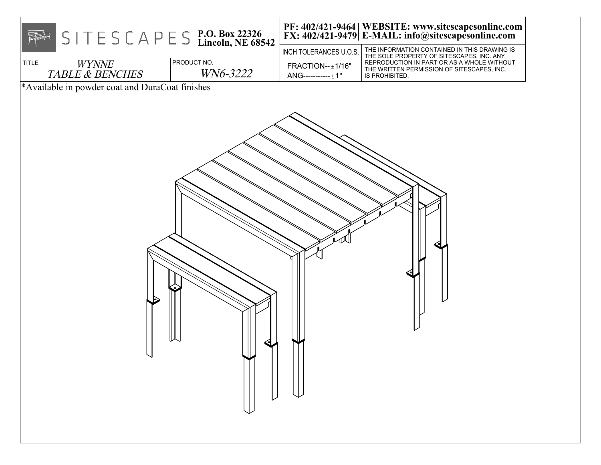| $S \mid T \in S \subset A \cap E \subseteq S$ P.O. Box 22326<br>Lincoln, NE 68542<br>PRODUCT NO.<br><b>TITLE</b><br><b>WYNNE</b><br>WN6-3222<br><b>TABLE &amp; BENCHES</b> | INCH TOLERANCES U.O.S.<br>FRACTION-- ±1/16"<br>$ANG$ -----------±1°                         | PF: 402/421-9464   WEBSITE: www.sitescapesonline.com<br>FX: 402/421-9479   E-MAIL: info@sitescapesonline.com<br>THE INFORMATION CONTAINED IN THIS DRAWING IS<br>THE SOLE PROPERTY OF SITESCAPES, INC. ANY<br>REPRODUCTION IN PART OR AS A WHOLE WITHOUT<br>THE WRITTEN PERMISSION OF SITESCAPES, INC.<br>IS PROHIBITED. |  |
|----------------------------------------------------------------------------------------------------------------------------------------------------------------------------|---------------------------------------------------------------------------------------------|-------------------------------------------------------------------------------------------------------------------------------------------------------------------------------------------------------------------------------------------------------------------------------------------------------------------------|--|
| *Available in powder coat and DuraCoat finishes                                                                                                                            | $\begin{array}{c} \begin{array}{c} \begin{array}{c} \end{array} \\ \end{array} \end{array}$ |                                                                                                                                                                                                                                                                                                                         |  |